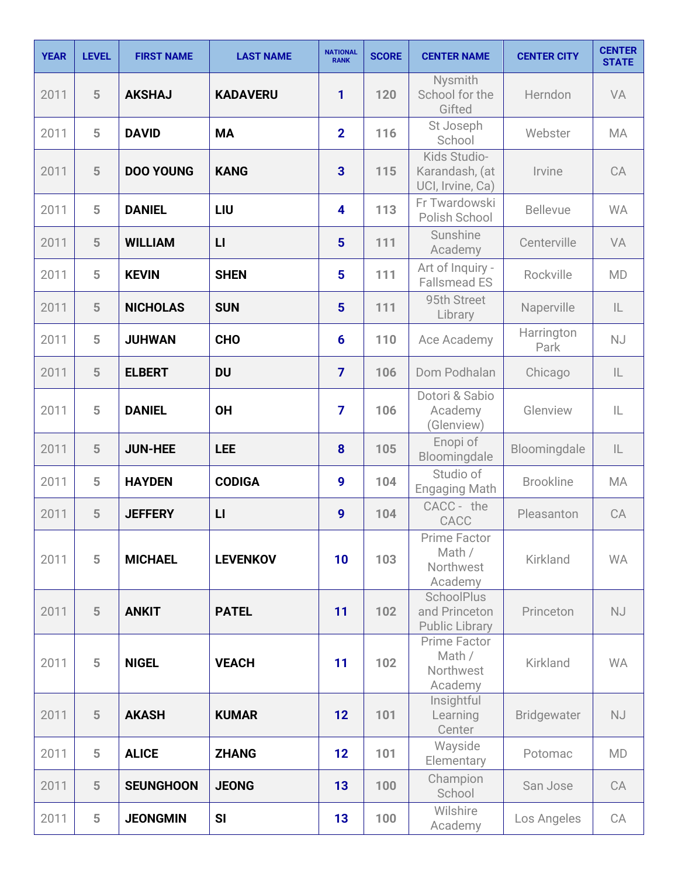| <b>YEAR</b> | <b>LEVEL</b> | <b>FIRST NAME</b> | <b>LAST NAME</b> | <b>NATIONAL</b><br><b>RANK</b> | <b>SCORE</b> | <b>CENTER NAME</b>                                          | <b>CENTER CITY</b> | <b>CENTER</b><br><b>STATE</b> |
|-------------|--------------|-------------------|------------------|--------------------------------|--------------|-------------------------------------------------------------|--------------------|-------------------------------|
| 2011        | 5            | <b>AKSHAJ</b>     | <b>KADAVERU</b>  | 1                              | 120          | Nysmith<br>School for the<br>Gifted                         | Herndon            | VA                            |
| 2011        | 5            | <b>DAVID</b>      | <b>MA</b>        | $\overline{2}$                 | 116          | St Joseph<br>School                                         | Webster            | <b>MA</b>                     |
| 2011        | 5            | <b>DOO YOUNG</b>  | <b>KANG</b>      | $\overline{3}$                 | 115          | Kids Studio-<br>Karandash, (at<br>UCI, Irvine, Ca)          | Irvine             | CA                            |
| 2011        | 5            | <b>DANIEL</b>     | LIU              | 4                              | 113          | Fr Twardowski<br>Polish School                              | <b>Bellevue</b>    | <b>WA</b>                     |
| 2011        | 5            | <b>WILLIAM</b>    | $\mathsf{L}$     | 5                              | 111          | Sunshine<br>Academy                                         | Centerville        | VA                            |
| 2011        | 5            | <b>KEVIN</b>      | <b>SHEN</b>      | 5                              | 111          | Art of Inquiry -<br><b>Fallsmead ES</b>                     | Rockville          | <b>MD</b>                     |
| 2011        | 5            | <b>NICHOLAS</b>   | <b>SUN</b>       | 5                              | 111          | 95th Street<br>Library                                      | Naperville         | IL                            |
| 2011        | 5            | <b>JUHWAN</b>     | <b>CHO</b>       | 6                              | 110          | Ace Academy                                                 | Harrington<br>Park | <b>NJ</b>                     |
| 2011        | 5            | <b>ELBERT</b>     | <b>DU</b>        | $\overline{7}$                 | 106          | Dom Podhalan                                                | Chicago            | $\mathsf{IL}$                 |
| 2011        | 5            | <b>DANIEL</b>     | <b>OH</b>        | $\overline{7}$                 | 106          | Dotori & Sabio<br>Academy<br>(Glenview)                     | Glenview           | IL                            |
| 2011        | 5            | <b>JUN-HEE</b>    | <b>LEE</b>       | 8                              | 105          | Enopi of<br>Bloomingdale                                    | Bloomingdale       | $\mathsf{IL}$                 |
| 2011        | 5            | <b>HAYDEN</b>     | <b>CODIGA</b>    | 9                              | 104          | Studio of<br><b>Engaging Math</b>                           | <b>Brookline</b>   | <b>MA</b>                     |
| 2011        | 5            | <b>JEFFERY</b>    | $\mathsf{L}$     | 9                              | 104          | CACC - the<br>CACC                                          | Pleasanton         | CA                            |
| 2011        | 5            | <b>MICHAEL</b>    | <b>LEVENKOV</b>  | 10                             | 103          | Prime Factor<br>Math /<br>Northwest<br>Academy              | Kirkland           | <b>WA</b>                     |
| 2011        | 5            | <b>ANKIT</b>      | <b>PATEL</b>     | 11                             | 102          | <b>SchoolPlus</b><br>and Princeton<br><b>Public Library</b> | Princeton          | <b>NJ</b>                     |
| 2011        | 5            | <b>NIGEL</b>      | <b>VEACH</b>     | 11                             | 102          | Prime Factor<br>Math /<br>Northwest<br>Academy              | Kirkland           | <b>WA</b>                     |
| 2011        | 5            | <b>AKASH</b>      | <b>KUMAR</b>     | 12                             | 101          | Insightful<br>Learning<br>Center                            | <b>Bridgewater</b> | <b>NJ</b>                     |
| 2011        | 5            | <b>ALICE</b>      | <b>ZHANG</b>     | 12                             | 101          | Wayside<br>Elementary                                       | Potomac            | <b>MD</b>                     |
| 2011        | 5            | <b>SEUNGHOON</b>  | <b>JEONG</b>     | 13                             | 100          | Champion<br>School                                          | San Jose           | CA                            |
| 2011        | 5            | <b>JEONGMIN</b>   | SI               | 13                             | 100          | Wilshire<br>Academy                                         | Los Angeles        | CA                            |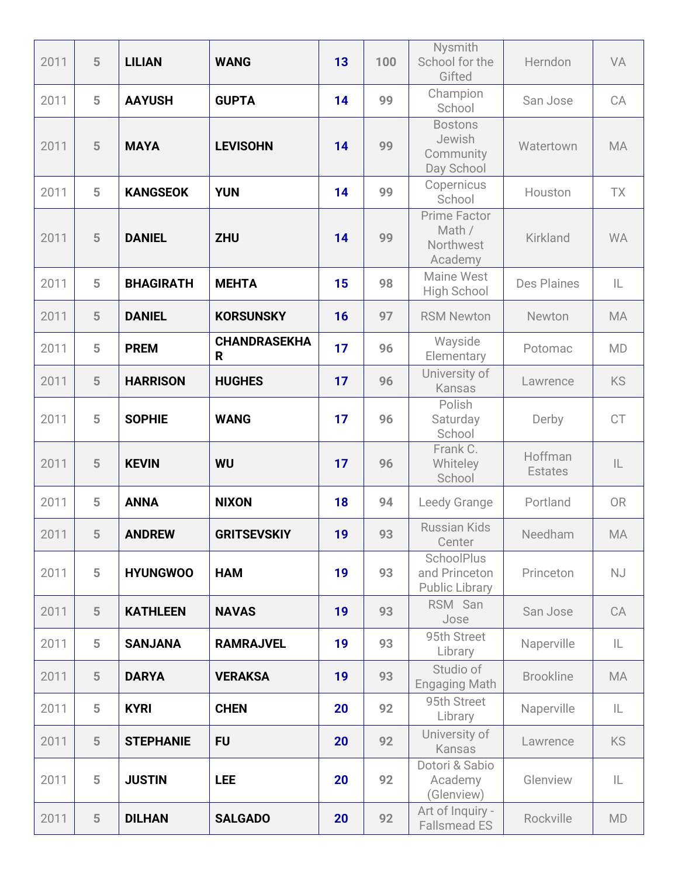| 2011 | 5              | <b>LILIAN</b>    | <b>WANG</b>                        | 13 | 100 | Nysmith<br>School for the<br>Gifted                         | Herndon                   | VA            |
|------|----------------|------------------|------------------------------------|----|-----|-------------------------------------------------------------|---------------------------|---------------|
| 2011 | 5              | <b>AAYUSH</b>    | <b>GUPTA</b>                       | 14 | 99  | Champion<br>School                                          | San Jose                  | CA            |
| 2011 | 5              | <b>MAYA</b>      | <b>LEVISOHN</b>                    | 14 | 99  | <b>Bostons</b><br>Jewish<br>Community<br>Day School         | Watertown                 | <b>MA</b>     |
| 2011 | 5              | <b>KANGSEOK</b>  | <b>YUN</b>                         | 14 | 99  | Copernicus<br>School                                        | Houston                   | <b>TX</b>     |
| 2011 | 5              | <b>DANIEL</b>    | <b>ZHU</b>                         | 14 | 99  | Prime Factor<br>Math /<br>Northwest<br>Academy              | Kirkland                  | <b>WA</b>     |
| 2011 | 5              | <b>BHAGIRATH</b> | <b>MEHTA</b>                       | 15 | 98  | Maine West<br>High School                                   | <b>Des Plaines</b>        | IL            |
| 2011 | 5              | <b>DANIEL</b>    | <b>KORSUNSKY</b>                   | 16 | 97  | <b>RSM Newton</b>                                           | Newton                    | <b>MA</b>     |
| 2011 | 5              | <b>PREM</b>      | <b>CHANDRASEKHA</b><br>$\mathsf R$ | 17 | 96  | Wayside<br>Elementary                                       | Potomac                   | MD            |
| 2011 | 5              | <b>HARRISON</b>  | <b>HUGHES</b>                      | 17 | 96  | University of<br><b>Kansas</b>                              | Lawrence                  | <b>KS</b>     |
| 2011 | 5              | <b>SOPHIE</b>    | <b>WANG</b>                        | 17 | 96  | Polish<br>Saturday<br>School                                | Derby                     | <b>CT</b>     |
| 2011 | 5              | <b>KEVIN</b>     | <b>WU</b>                          | 17 | 96  | Frank C.<br>Whiteley<br>School                              | Hoffman<br><b>Estates</b> | $\mathsf{IL}$ |
| 2011 | 5              | <b>ANNA</b>      | <b>NIXON</b>                       | 18 | 94  | Leedy Grange                                                | Portland                  | <b>OR</b>     |
| 2011 | 5              | <b>ANDREW</b>    | <b>GRITSEVSKIY</b>                 | 19 | 93  | <b>Russian Kids</b><br>Center                               | Needham                   | MA            |
| 2011 | 5              | <b>HYUNGWOO</b>  | <b>HAM</b>                         | 19 | 93  | <b>SchoolPlus</b><br>and Princeton<br><b>Public Library</b> | Princeton                 | <b>NJ</b>     |
| 2011 | $5\phantom{.}$ | <b>KATHLEEN</b>  | <b>NAVAS</b>                       | 19 | 93  | RSM San<br>Jose                                             | San Jose                  | CA            |
| 2011 | 5              | <b>SANJANA</b>   | <b>RAMRAJVEL</b>                   | 19 | 93  | 95th Street<br>Library                                      | Naperville                | IL.           |
| 2011 | 5              | <b>DARYA</b>     | <b>VERAKSA</b>                     | 19 | 93  | Studio of<br><b>Engaging Math</b>                           | <b>Brookline</b>          | MA            |
| 2011 | 5              | <b>KYRI</b>      | <b>CHEN</b>                        | 20 | 92  | 95th Street<br>Library                                      | Naperville                | IL.           |
| 2011 | 5              | <b>STEPHANIE</b> | <b>FU</b>                          | 20 | 92  | University of<br>Kansas                                     | Lawrence                  | <b>KS</b>     |
| 2011 | 5              | <b>JUSTIN</b>    | <b>LEE</b>                         | 20 | 92  | Dotori & Sabio<br>Academy<br>(Glenview)                     | Glenview                  | IL            |
| 2011 | 5              | <b>DILHAN</b>    | <b>SALGADO</b>                     | 20 | 92  | Art of Inquiry -<br><b>Fallsmead ES</b>                     | Rockville                 | MD            |